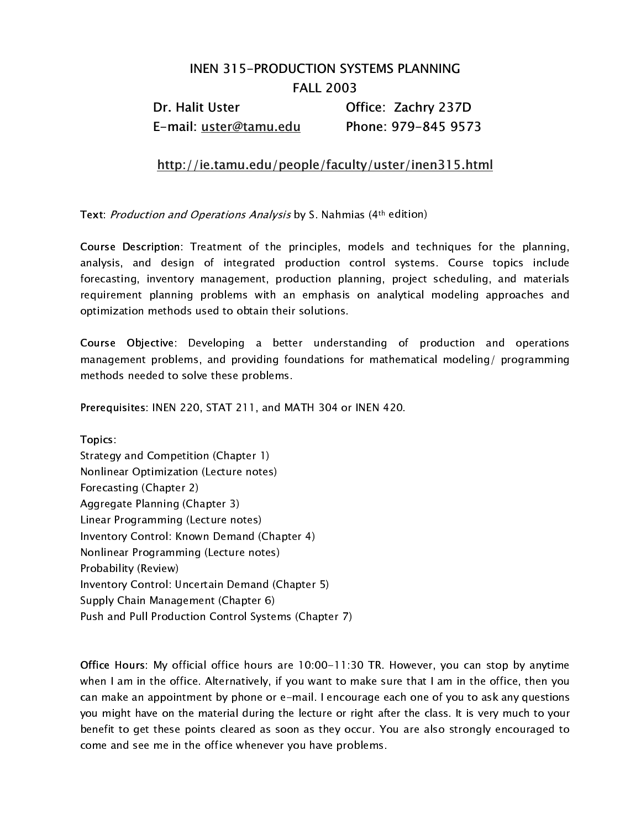## INEN 315-PRODUCTION SYSTEMS PLANNING FALL 2003 Dr. Halit Uster **Office: Zachry 237D**

E-mail: uster@tamu.edu Phone: 979-845 9573

## http://ie.tamu.edu/people/faculty/uster/inen315.html

Text: Production and Operations Analysis by S. Nahmias (4<sup>th</sup> edition)

Course Description: Treatment of the principles, models and techniques for the planning, analysis, and design of integrated production control systems. Course topics include forecasting, inventory management, production planning, project scheduling, and materials requirement planning problems with an emphasis on analytical modeling approaches and optimization methods used to obtain their solutions.

Course Objective: Developing a better understanding of production and operations management problems, and providing foundations for mathematical modeling/ programming methods needed to solve these problems.

Prerequisites: INEN 220, STAT 211, and MATH 304 or INEN 420.

Topics: Strategy and Competition (Chapter 1) Nonlinear Optimization (Lecture notes) Forecasting (Chapter 2) Aggregate Planning (Chapter 3) Linear Programming (Lecture notes) Inventory Control: Known Demand (Chapter 4) Nonlinear Programming (Lecture notes) Probability (Review) Inventory Control: Uncertain Demand (Chapter 5) Supply Chain Management (Chapter 6) Push and Pull Production Control Systems (Chapter 7)

Office Hours: My official office hours are 10:00-11:30 TR. However, you can stop by anytime when I am in the office. Alternatively, if you want to make sure that I am in the office, then you can make an appointment by phone or e-mail. I encourage each one of you to ask any questions you might have on the material during the lecture or right after the class. It is very much to your benefit to get these points cleared as soon as they occur. You are also strongly encouraged to come and see me in the office whenever you have problems.